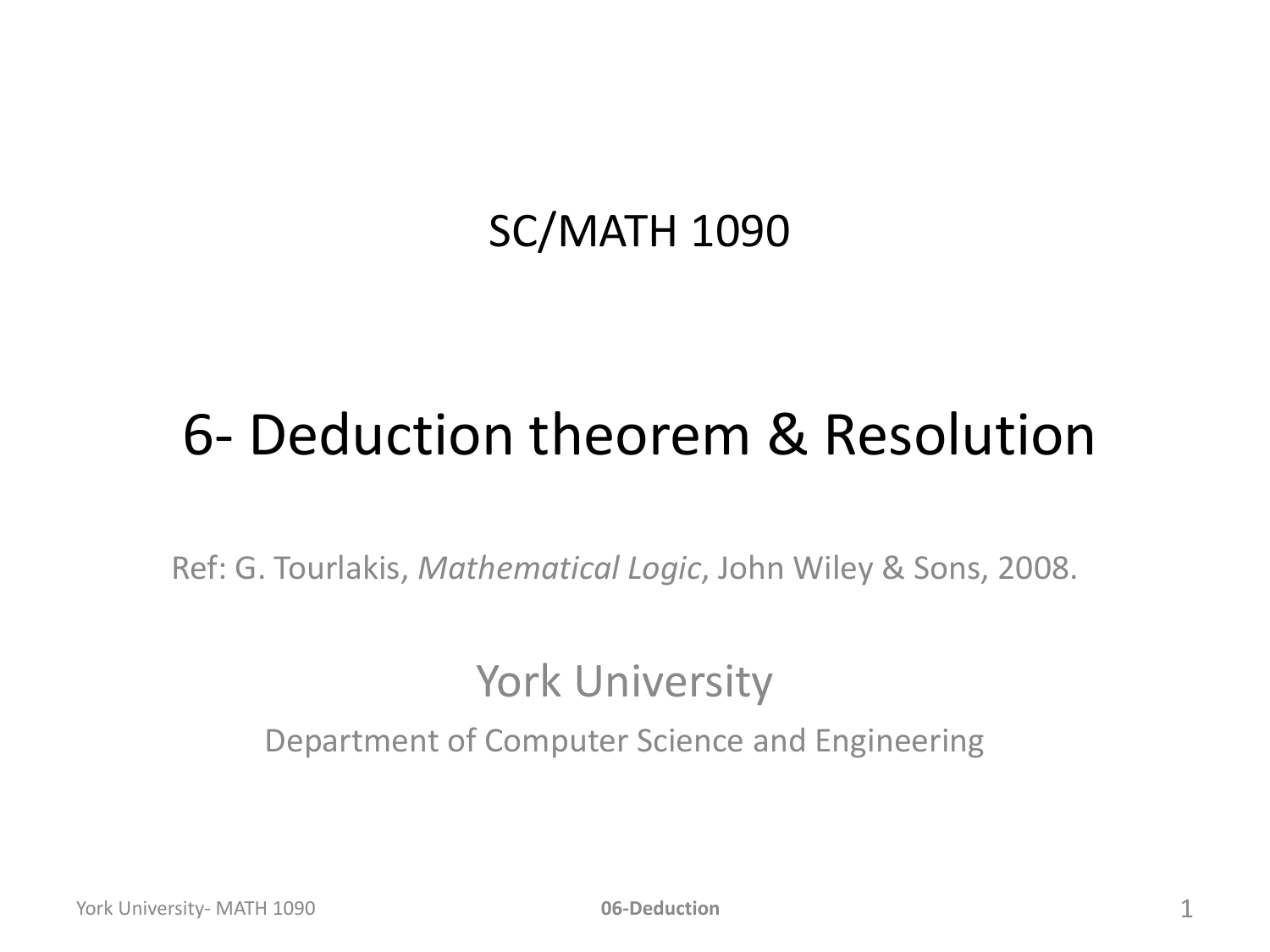#### SC/MATH 1090

#### 6- Deduction theorem & Resolution

Ref: G. Tourlakis, *Mathematical Logic*, John Wiley & Sons, 2008.

#### York University

Department of Computer Science and Engineering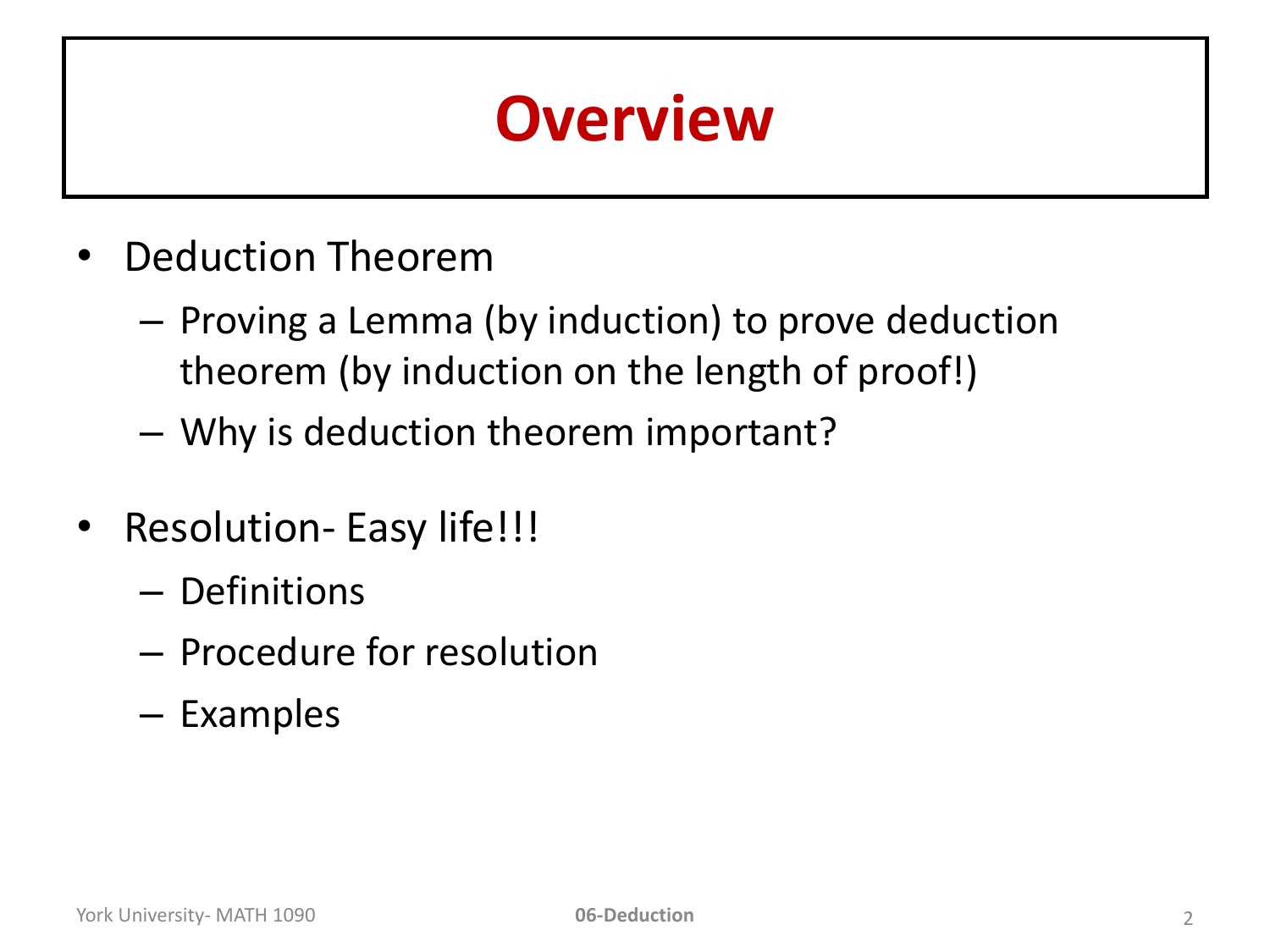### **Overview**

- Deduction Theorem
	- Proving a Lemma (by induction) to prove deduction theorem (by induction on the length of proof!)
	- Why is deduction theorem important?
- Resolution- Easy life!!!
	- Definitions
	- Procedure for resolution
	- Examples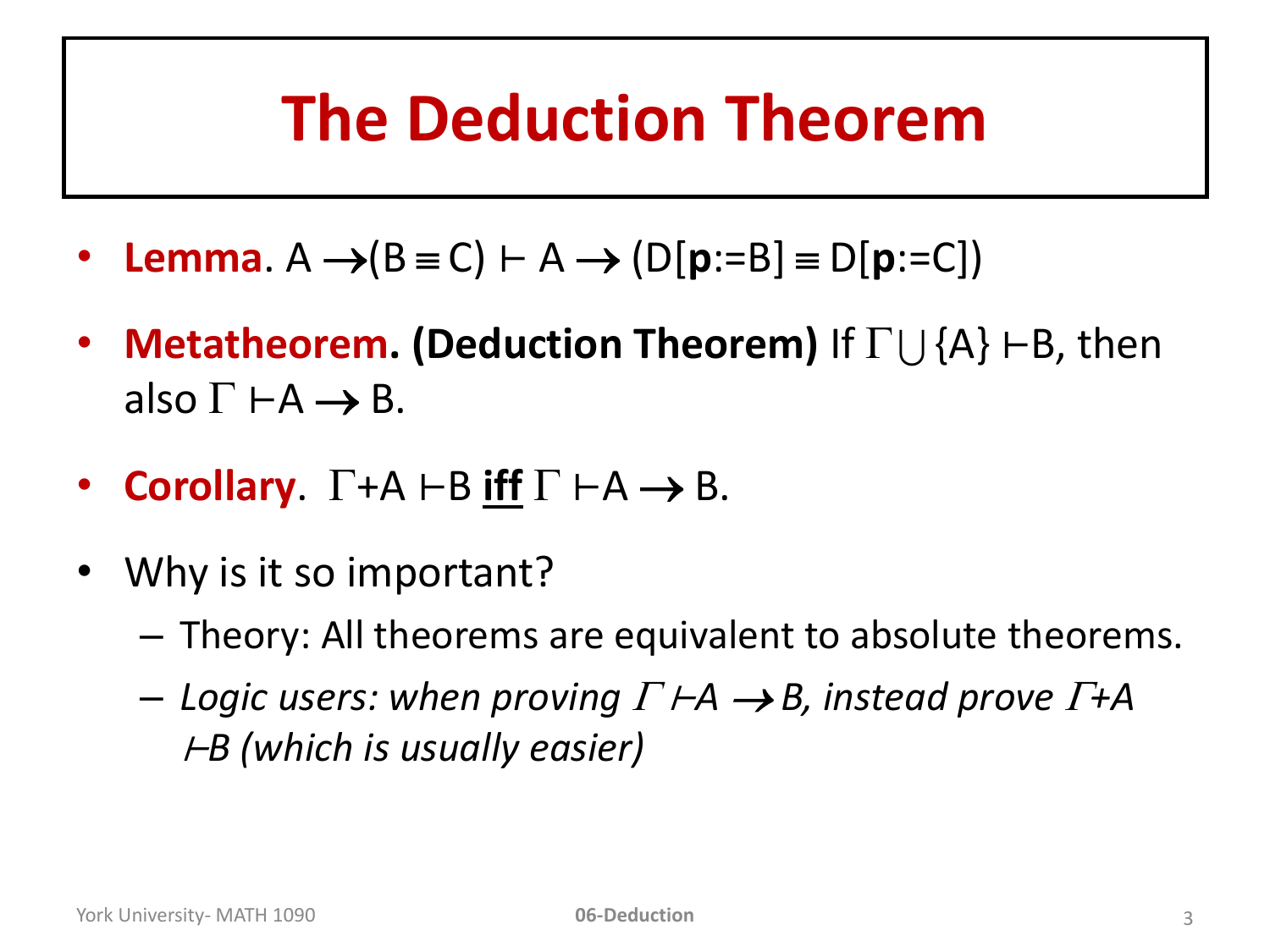### **The Deduction Theorem**

- **Lemma**.  $A \rightarrow (B \equiv C) \vdash A \rightarrow (D[p:=B] \equiv D[p:=C])$
- **Metatheorem. (Deduction Theorem)** If  $\Gamma \cup \{A\}$  ⊢B, then also  $\Gamma \vdash A \rightarrow B$ .
- **Corollary.**  $\Gamma$ +A  $\vdash$ B **iff**  $\Gamma$   $\vdash$ A  $\rightarrow$  B.
- Why is it so important?
	- Theory: All theorems are equivalent to absolute theorems.
	- *Logic users: when proving*  <sup>⊢</sup>*A B, instead prove +A*  <sup>⊢</sup>*B (which is usually easier)*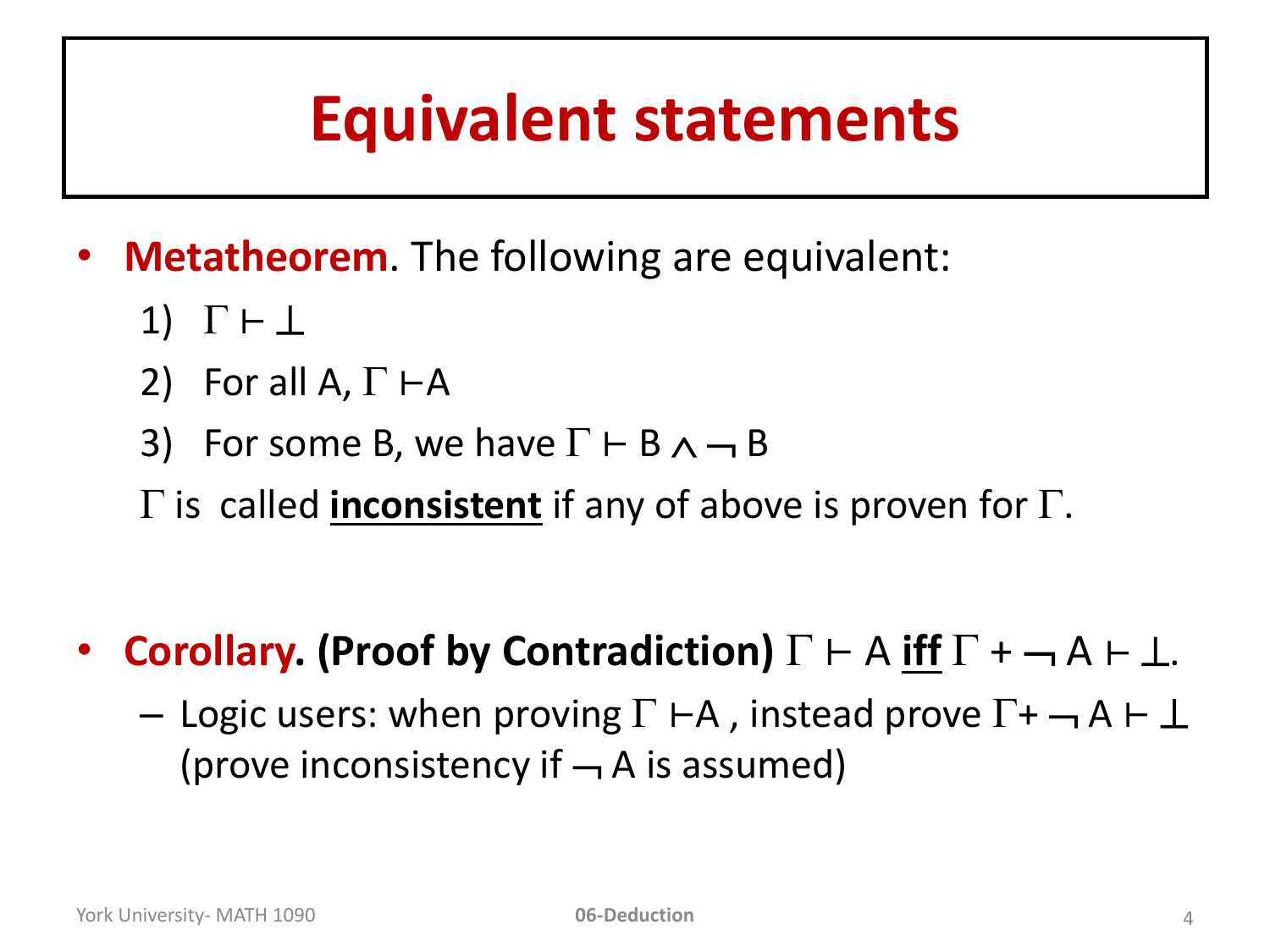#### **Equivalent statements**

- **Metatheorem**. The following are equivalent:
	- 1)  $\Gamma \vdash \bot$
	- 2) For all A,  $\Gamma \vdash A$
	- 3) For some B, we have  $\Gamma \vdash B \land \neg B$
	- $\Gamma$  is called **inconsistent** if any of above is proven for  $\Gamma$ .
- **Corollary. (Proof by Contradiction)**  $\Gamma \vdash A$  **iff**  $\Gamma \vdash \neg A \vdash \bot$ .
	- Logic users: when proving  $\Gamma \vdash A$ , instead prove  $\Gamma + \neg A \vdash \bot$ (prove inconsistency if  $\rightarrow$  A is assumed)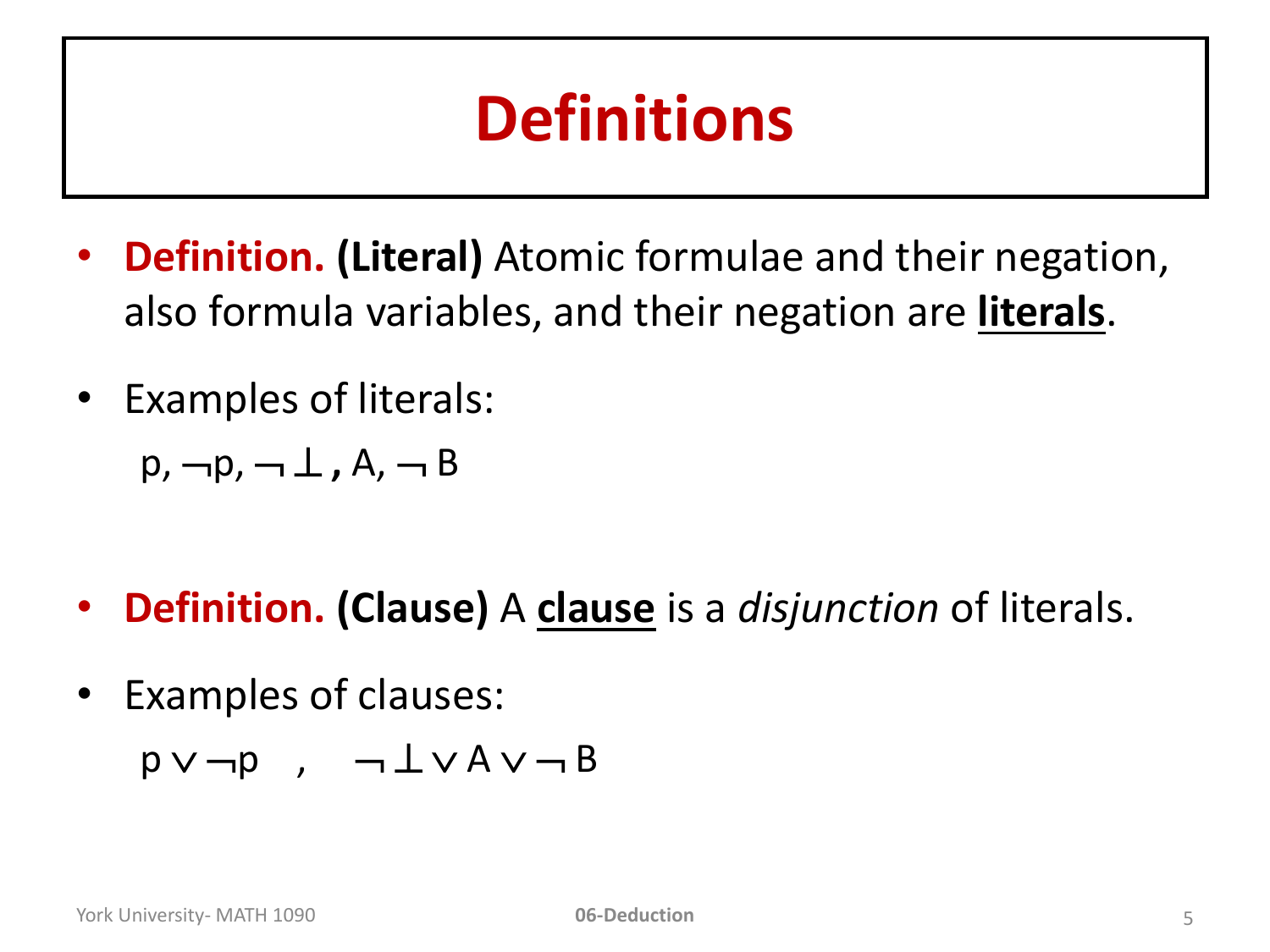## **Definitions**

- **Definition. (Literal)** Atomic formulae and their negation, also formula variables, and their negation are **literals**.
- Examples of literals:

 $p, \neg p, \neg \perp, A, \neg B$ 

- **Definition. (Clause)** A **clause** is a *disjunction* of literals.
- Examples of clauses:  $p \vee \neg p$ ,  $\neg \bot \vee A \vee \neg B$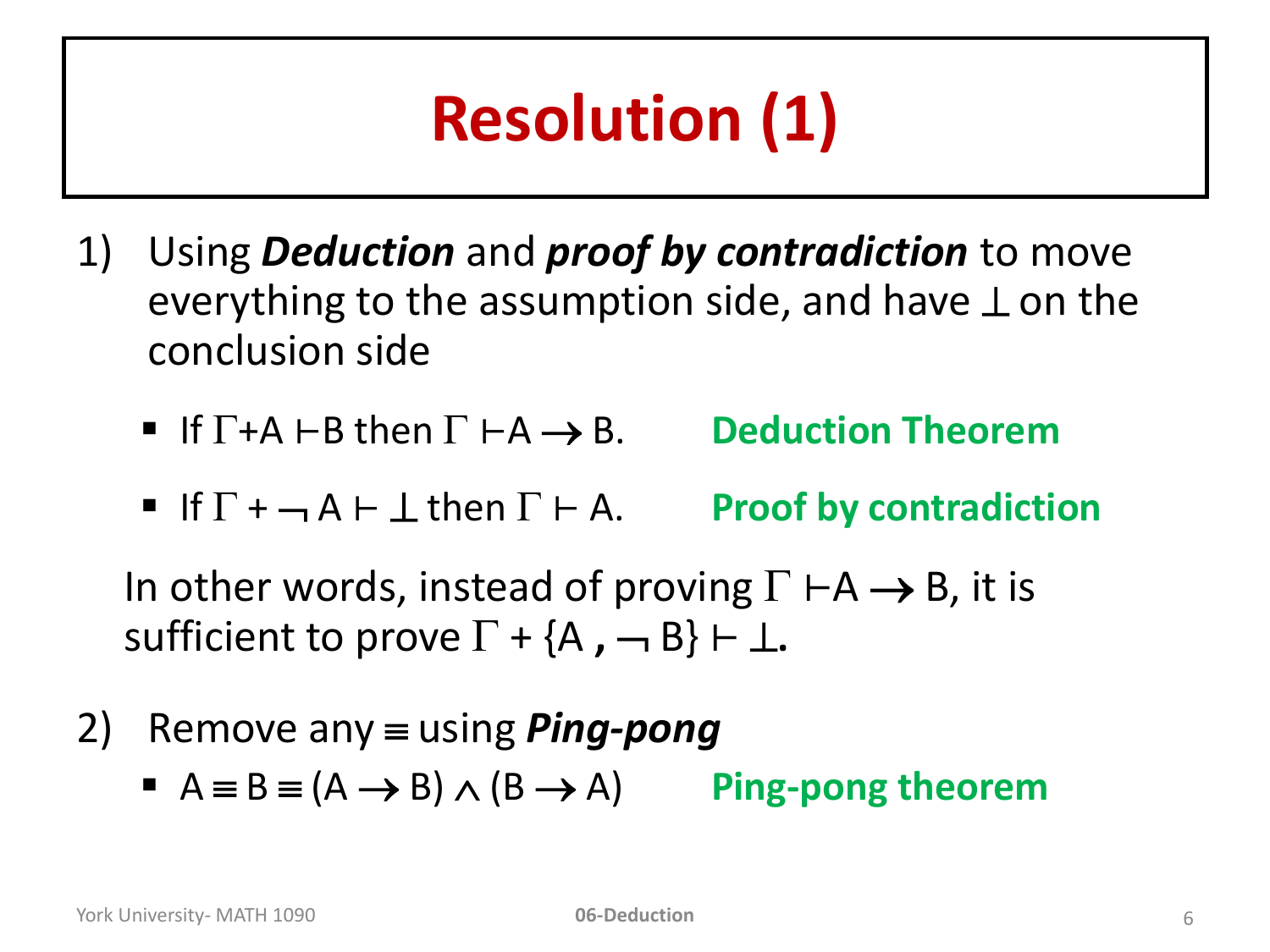# **Resolution (1)**

- 1) Using *Deduction* and *proof by contradiction* to move everything to the assumption side, and have  $\perp$  on the conclusion side
	- If  $\Gamma$  +A  $\vdash$  B then  $\Gamma$   $\vdash$  A  $\rightarrow$  B. Deduction Theorem
	- If  $\Gamma$  +  $\neg$  A  $\vdash$   $\bot$  then  $\Gamma$   $\vdash$  A. Proof by contradiction

In other words, instead of proving  $\Gamma \vdash A \rightarrow B$ , it is sufficient to prove  $\Gamma + \{A, -B\} \vdash \bot$ .

- 2) Remove any  $\equiv$  using *Ping-pong* 
	- $A \equiv B \equiv (A \rightarrow B) \wedge (B \rightarrow A)$  **Ping-pong theorem**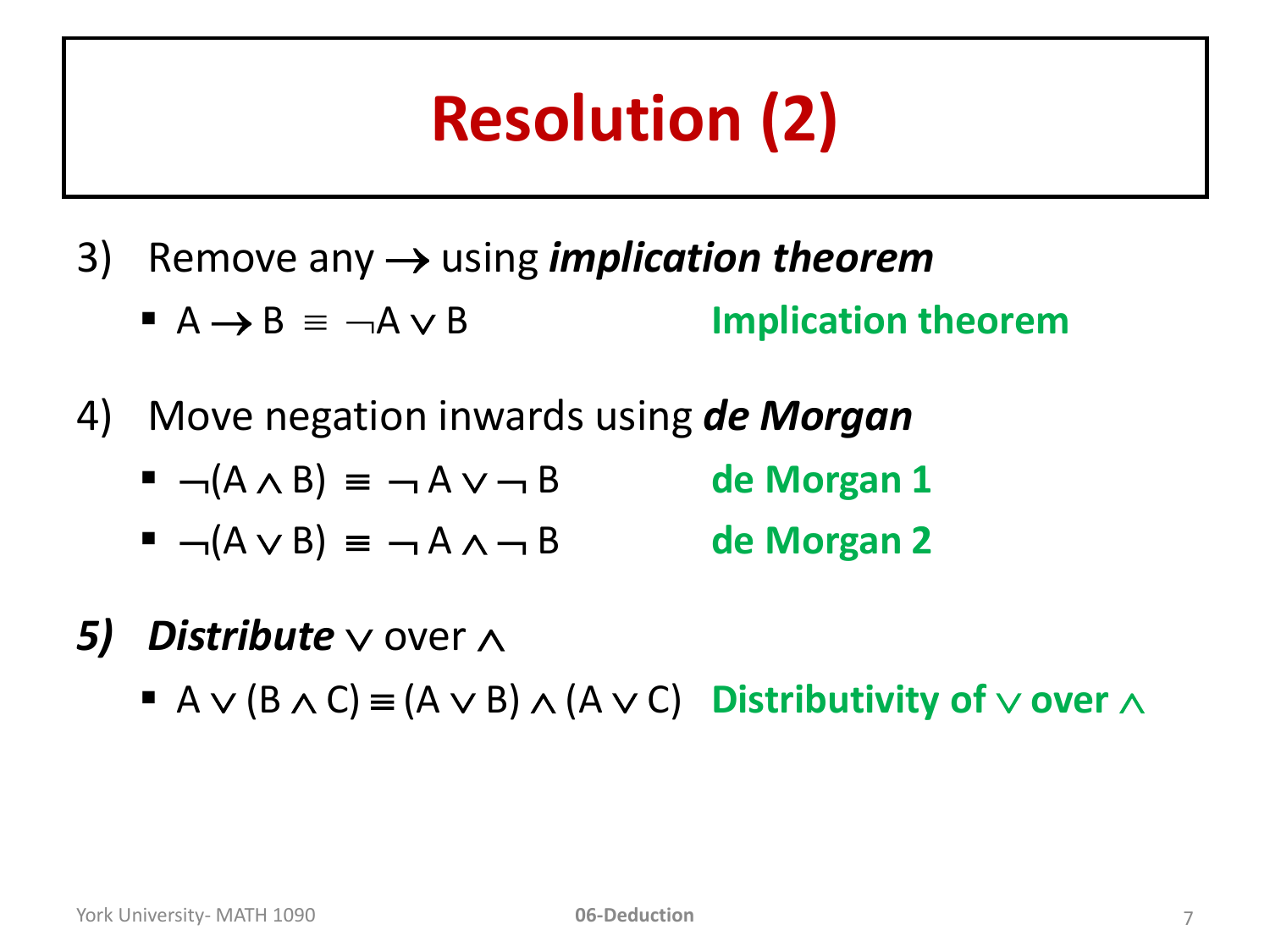# **Resolution (2)**

- 3) Remove any using *implication theorem*
	- $A \rightarrow B \equiv \neg A \vee B$  **Implication theorem**
- 4) Move negation inwards using *de Morgan* 
	- $\blacksquare$   $\neg$ ( $A \wedge B$ )  $\equiv$   $\neg$   $A \vee \neg B$  de Morgan 1
	- $\blacksquare$   $\neg$ ( $A \lor B$ )  $\equiv$   $\neg$   $A \land \neg B$  de Morgan 2
- 5) Distribute  $\vee$  over  $\wedge$ 
	- $A \vee (B \wedge C) \equiv (A \vee B) \wedge (A \vee C)$  Distributivity of  $\vee$  over  $\wedge$